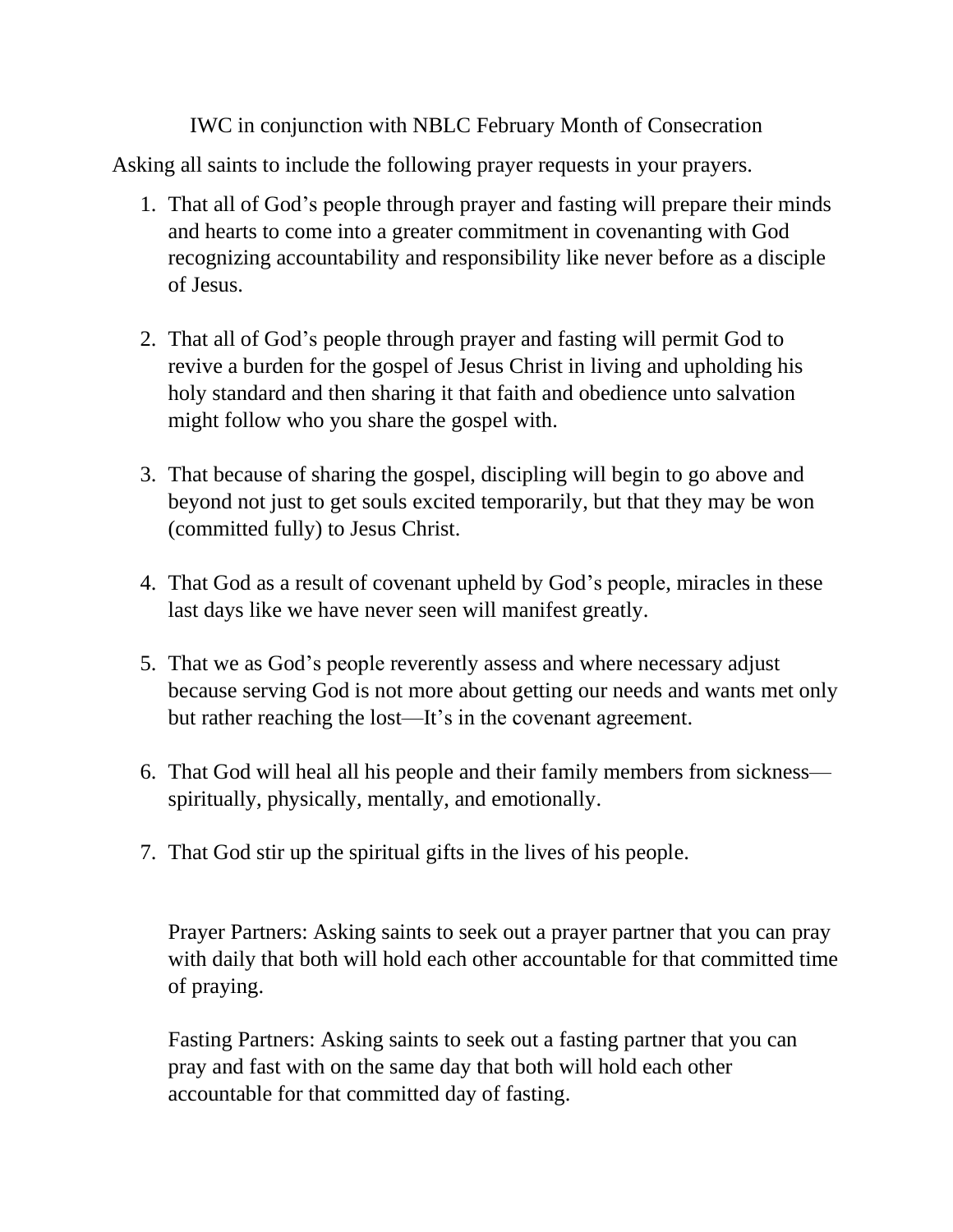IWC in conjunction with NBLC February Month of Consecration

Asking all saints to include the following prayer requests in your prayers.

- 1. That all of God's people through prayer and fasting will prepare their minds and hearts to come into a greater commitment in covenanting with God recognizing accountability and responsibility like never before as a disciple of Jesus.
- 2. That all of God's people through prayer and fasting will permit God to revive a burden for the gospel of Jesus Christ in living and upholding his holy standard and then sharing it that faith and obedience unto salvation might follow who you share the gospel with.
- 3. That because of sharing the gospel, discipling will begin to go above and beyond not just to get souls excited temporarily, but that they may be won (committed fully) to Jesus Christ.
- 4. That God as a result of covenant upheld by God's people, miracles in these last days like we have never seen will manifest greatly.
- 5. That we as God's people reverently assess and where necessary adjust because serving God is not more about getting our needs and wants met only but rather reaching the lost—It's in the covenant agreement.
- 6. That God will heal all his people and their family members from sickness spiritually, physically, mentally, and emotionally.
- 7. That God stir up the spiritual gifts in the lives of his people.

Prayer Partners: Asking saints to seek out a prayer partner that you can pray with daily that both will hold each other accountable for that committed time of praying.

Fasting Partners: Asking saints to seek out a fasting partner that you can pray and fast with on the same day that both will hold each other accountable for that committed day of fasting.